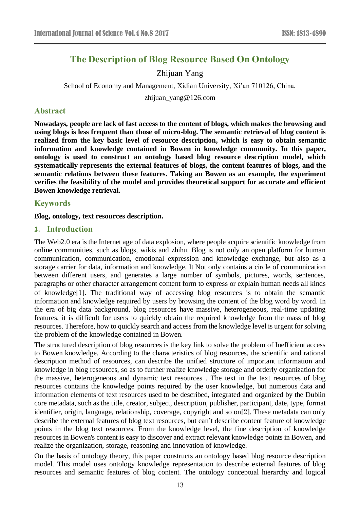# **The Description of Blog Resource Based On Ontology**

# Zhijuan Yang

School of Economy and Management, Xidian University, Xi'an 710126, China.

zhijuan\_yang@126.com

## **Abstract**

**Nowadays, people are lack of fast access to the content of blogs, which makes the browsing and using blogs is less frequent than those of micro-blog. The semantic retrieval of blog content is realized from the key basic level of resource description, which is easy to obtain semantic information and knowledge contained in Bowen in knowledge community. In this paper, ontology is used to construct an ontology based blog resource description model, which systematically represents the external features of blogs, the content features of blogs, and the semantic relations between these features. Taking an Bowen as an example, the experiment verifies the feasibility of the model and provides theoretical support for accurate and efficient Bowen knowledge retrieval.**

# **Keywords**

**Blog, ontology, text resources description.** 

## **1. Introduction**

The Web2.0 era is the Internet age of data explosion, where people acquire scientific knowledge from online communities, such as blogs, wikis and zhihu. Blog is not only an open platform for human communication, communication, emotional expression and knowledge exchange, but also as a storage carrier for data, information and knowledge. It Not only contains a circle of communication between different users, and generates a large number of symbols, pictures, words, sentences, paragraphs or other character arrangement content form to express or explain human needs all kinds of knowledge[1]. The traditional way of accessing blog resources is to obtain the semantic information and knowledge required by users by browsing the content of the blog word by word. In the era of big data background, blog resources have massive, heterogeneous, real-time updating features, it is difficult for users to quickly obtain the required knowledge from the mass of blog resources. Therefore, how to quickly search and access from the knowledge level is urgent for solving the problem of the knowledge contained in Bowen.

The structured description of blog resources is the key link to solve the problem of Inefficient access to Bowen knowledge. According to the characteristics of blog resources, the scientific and rational description method of resources, can describe the unified structure of important information and knowledge in blog resources, so as to further realize knowledge storage and orderly organization for the massive, heterogeneous and dynamic text resources . The text in the text resources of blog resources contains the knowledge points required by the user knowledge, but numerous data and information elements of text resources used to be described, integrated and organized by the Dublin core metadata, such as the title, creator, subject, description, publisher, participant, date, type, format identifier, origin, language, relationship, coverage, copyright and so on[2]. These metadata can only describe the external features of blog text resources, but can't describe content feature of knowledge points in the blog text resources. From the knowledge level, the fine description of knowledge resources in Bowen's content is easy to discover and extract relevant knowledge points in Bowen, and realize the organization, storage, reasoning and innovation of knowledge.

On the basis of ontology theory, this paper constructs an ontology based blog resource description model. This model uses ontology knowledge representation to describe external features of blog resources and semantic features of blog content. The ontology conceptual hierarchy and logical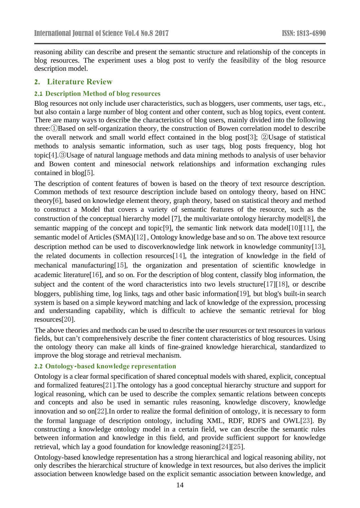reasoning ability can describe and present the semantic structure and relationship of the concepts in blog resources. The experiment uses a blog post to verify the feasibility of the blog resource description model.

# **2. Literature Review**

## **2.1 Description Method of blog resources**

Blog resources not only include user characteristics, such as bloggers, user comments, user tags, etc., but also contain a large number of blog content and other content, such as blog topics, event content. There are many ways to describe the characteristics of blog users, mainly divided into the following three:①Based on self-organization theory, the construction of Bowen correlation model to describe the overall network and small world effect contained in the blog post[3]; ②Usage of statistical methods to analysis semantic information, such as user tags, blog posts frequency, blog hot topic[4].③Usage of natural language methods and data mining methods to analysis of user behavior and Bowen content and minesocial network relationships and information exchanging rules contained in blog[5].

The description of content features of bowen is based on the theory of text resource description. Common methods of text resource description include based on ontology theory, based on HNC theory[6], based on knowledge element theory, graph theory, based on statistical theory and method to construct a Model that covers a variety of semantic features of the resource, such as the construction of the conceptual hierarchy model [7], the multivariate ontology hierarchy model[8], the semantic mapping of the concept and topic<sup>[9]</sup>, the semantic link network data model<sup>[10][11]</sup>, the semantic model of Articles (SMA)[12] , Ontology knowledge base and so on. The above text resource description method can be used to discoverknowledge link network in knowledge community[13], the related documents in collection resources[14], the integration of knowledge in the field of mechanical manufacturing[15], the organization and presentation of scientific knowledge in academic literature[16], and so on. For the description of blog content, classify blog information, the subject and the content of the word characteristics into two levels structure[17][18], or describe bloggers, publishing time, log links, tags and other basic information[19], but blog's built-in search system is based on a simple keyword matching and lack of knowledge of the expression, processing and understanding capability, which is difficult to achieve the semantic retrieval for blog resources[20].

The above theories and methods can be used to describe the user resources or text resources in various fields, but can't comprehensively describe the finer content characteristics of blog resources. Using the ontology theory can make all kinds of fine-grained knowledge hierarchical, standardized to improve the blog storage and retrieval mechanism.

## **2.2 Ontology-based knowledge representation**

Ontology is a clear formal specification of shared conceptual models with shared, explicit, conceptual and formalized features[21].The ontology has a good conceptual hierarchy structure and support for logical reasoning, which can be used to describe the complex semantic relations between concepts and concepts and also be used in semantic rules reasoning, knowledge discovery, knowledge innovation and so on[22].In order to realize the formal definition of ontology, it is necessary to form the formal language of description ontology, including XML, RDF, RDFS and OWL[23]. By constructing a knowledge ontology model in a certain field, we can describe the semantic rules between information and knowledge in this field, and provide sufficient support for knowledge retrieval, which lay a good foundation for knowledge reasoning[24][25].

Ontology-based knowledge representation has a strong hierarchical and logical reasoning ability, not only describes the hierarchical structure of knowledge in text resources, but also derives the implicit association between knowledge based on the explicit semantic association between knowledge, and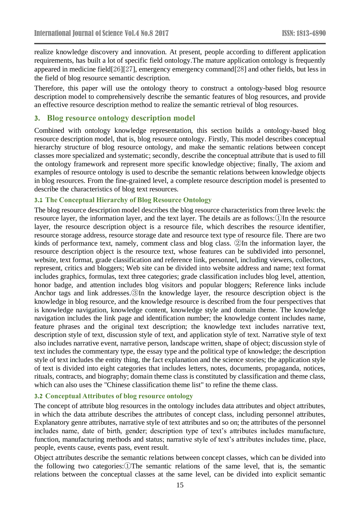realize knowledge discovery and innovation. At present, people according to different application requirements, has built a lot of specific field ontology.The mature application ontology is frequently appeared in medicine field[26][27], emergency emergency command[28] and other fields, but less in the field of blog resource semantic description.

Therefore, this paper will use the ontology theory to construct a ontology-based blog resource description model to comprehensively describe the semantic features of blog resources, and provide an effective resource description method to realize the semantic retrieval of blog resources.

# **3. Blog resource ontology description model**

Combined with ontology knowledge representation, this section builds a ontology-based blog resource description model, that is, blog resource ontology. Firstly, This model describes conceptual hierarchy structure of blog resource ontology, and make the semantic relations between concept classes more specialized and systematic; secondly, describe the conceptual attribute that is used to fill the ontology framework and represent more specific knowledge objective; finally, The axiom and examples of resource ontology is used to describe the semantic relations between knowledge objects in blog resources. From the fine-grained level, a complete resource description model is presented to describe the characteristics of blog text resources.

#### **3.1 The Conceptual Hierarchy of Blog Resource Ontology**

The blog resource description model describes the blog resource characteristics from three levels: the resource layer, the information layer, and the text layer. The details are as follows:①In the resource layer, the resource description object is a resource file, which describes the resource identifier, resource storage address, resource storage date and resource text type of resource file. There are two kinds of performance text, namely, comment class and blog class. ②In the information layer, the resource description object is the resource text, whose features can be subdivided into personnel, website, text format, grade classification and reference link, personnel, including viewers, collectors, represent, critics and bloggers; Web site can be divided into website address and name; text format includes graphics, formulas, text three categories; grade classification includes blog level, attention, honor badge, and attention includes blog visitors and popular bloggers; Reference links include Anchor tags and link addresses.③In the knowledge layer, the resource description object is the knowledge in blog resource, and the knowledge resource is described from the four perspectives that is knowledge navigation, knowledge content, knowledge style and domain theme. The knowledge navigation includes the link page and identification number; the knowledge content includes name, feature phrases and the original text description; the knowledge text includes narrative text, description style of text, discussion style of text, and application style of text. Narrative style of text also includes narrative event, narrative person, landscape written, shape of object; discussion style of text includes the commentary type, the essay type and the political type of knowledge; the description style of text includes the entity thing, the fact explanation and the science stories; the application style of text is divided into eight categories that includes letters, notes, documents, propaganda, notices, rituals, contracts, and biography; domain theme class is constituted by classification and theme class, which can also uses the "Chinese classification theme list" to refine the theme class.

## **3.2 Conceptual Attributes of blog resource ontology**

The concept of attribute blog resources in the ontology includes data attributes and object attributes, in which the data attribute describes the attributes of concept class, including personnel attributes, Explanatory genre attributes, narrative style of text attributes and so on; the attributes of the personnel includes name, date of birth, gender; description type of text's attributes includes manufacture, function, manufacturing methods and status; narrative style of text's attributes includes time, place, people, events cause, events pass, event result.

Object attributes describe the semantic relations between concept classes, which can be divided into the following two categories:①The semantic relations of the same level, that is, the semantic relations between the conceptual classes at the same level, can be divided into explicit semantic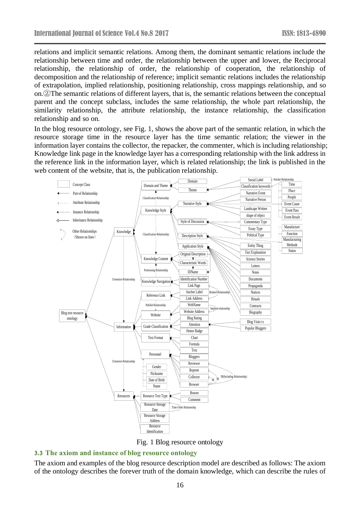relations and implicit semantic relations. Among them, the dominant semantic relations include the relationship between time and order, the relationship between the upper and lower, the Reciprocal relationship, the relationship of order, the relationship of cooperation, the relationship of decomposition and the relationship of reference; implicit semantic relations includes the relationship of extrapolation, implied relationship, positioning relationship, cross mappings relationship, and so on.②The semantic relations of different layers, that is, the semantic relations between the conceptual parent and the concept subclass, includes the same relationship, the whole part relationship, the similarity relationship, the attribute relationship, the instance relationship, the classification relationship and so on.

In the blog resource ontology, see Fig. 1, shows the above part of the semantic relation, in which the resource storage time in the resource layer has the time semantic relation; the viewer in the information layer contains the collector, the repacker, the commenter, which is including relationship; Knowledge link page in the knowledge layer has a corresponding relationship with the link address in the reference link in the information layer, which is related relationship; the link is published in the web content of the website, that is, the publication relationship.





## **3.3 The axiom and instance of blog resource ontology**

The axiom and examples of the blog resource description model are described as follows: The axiom of the ontology describes the forever truth of the domain knowledge, which can describe the rules of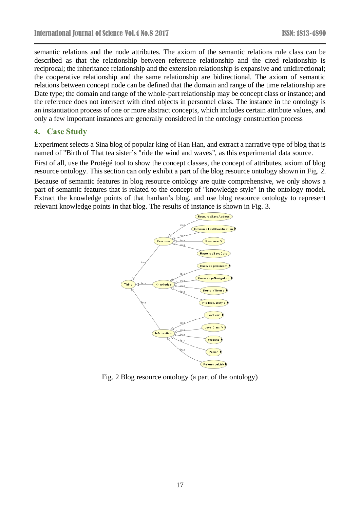semantic relations and the node attributes. The axiom of the semantic relations rule class can be described as that the relationship between reference relationship and the cited relationship is reciprocal; the inheritance relationship and the extension relationship is expansive and unidirectional; the cooperative relationship and the same relationship are bidirectional. The axiom of semantic relations between concept node can be defined that the domain and range of the time relationship are Date type; the domain and range of the whole-part relationship may be concept class or instance; and the reference does not intersect with cited objects in personnel class. The instance in the ontology is an instantiation process of one or more abstract concepts, which includes certain attribute values, and only a few important instances are generally considered in the ontology construction process

# **4. Case Study**

Experiment selects a Sina blog of popular king of Han Han, and extract a narrative type of blog that is named of "Birth of That tea sister's "ride the wind and waves", as this experimental data source.

First of all, use the Prot  $\circledast$  étool to show the concept classes, the concept of attributes, axiom of blog resource ontology. This section can only exhibit a part of the blog resource ontology shown in Fig. 2.

Because of semantic features in blog resource ontology are quite comprehensive, we only shows a part of semantic features that is related to the concept of "knowledge style" in the ontology model. Extract the knowledge points of that hanhan's blog, and use blog resource ontology to represent relevant knowledge points in that blog. The results of instance is shown in Fig. 3.



Fig. 2 Blog resource ontology (a part of the ontology)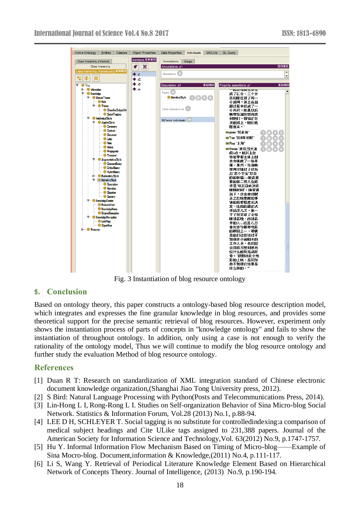

Fig. 3 Instantiation of blog resource ontology

## **5. Conclusion**

Based on ontology theory, this paper constructs a ontology-based blog resource description model, which integrates and expresses the fine granular knowledge in blog resources, and provides some theoretical support for the precise semantic retrieval of blog resources. However, experiment only shows the instantiation process of parts of concepts in "knowledge ontology" and fails to show the instantiation of throughout ontology. In addition, only using a case is not enough to verify the rationality of the ontology model, Thus we will continue to modify the blog resource ontology and further study the evaluation Method of blog resource ontology.

# **References**

- [1] Duan R T: Research on standardization of XML integration standard of Chinese electronic document knowledge organization,(Shanghai Jiao Tong University press, 2012).
- [2] S Bird: Natural Language Processing with Python(Posts and Telecommunications Press, 2014).
- [3] Lin-Hong L I, Rong-Rong L I. Studies on Self-organization Behavior of Sina Micro-blog Social Network. Statistics & Information Forum, Vol.28 (2013) No.1, p.88-94.
- [4] LEE D H, SCHLEYER T. Social tagging is no substitute for controlledindexing:a comparison of medical subject headings and Cite ULike tags assigned to 231,388 papers. Journal of the American Society for Information Science and Technology,Vol. 63(2012) No.9, p.1747-1757.
- [5] Hu Y. Informal Information Flow Mechanism Based on Timing of Micro-blog——Example of Sina Mocro-blog. Document,information & Knowledge,(2011) No.4, p.111-117.
- [6] Li S, Wang Y. Retrieval of Periodical Literature Knowledge Element Based on Hierarchical Network of Concepts Theory. Journal of Intelligence, (2013) No.9, p.190-194.